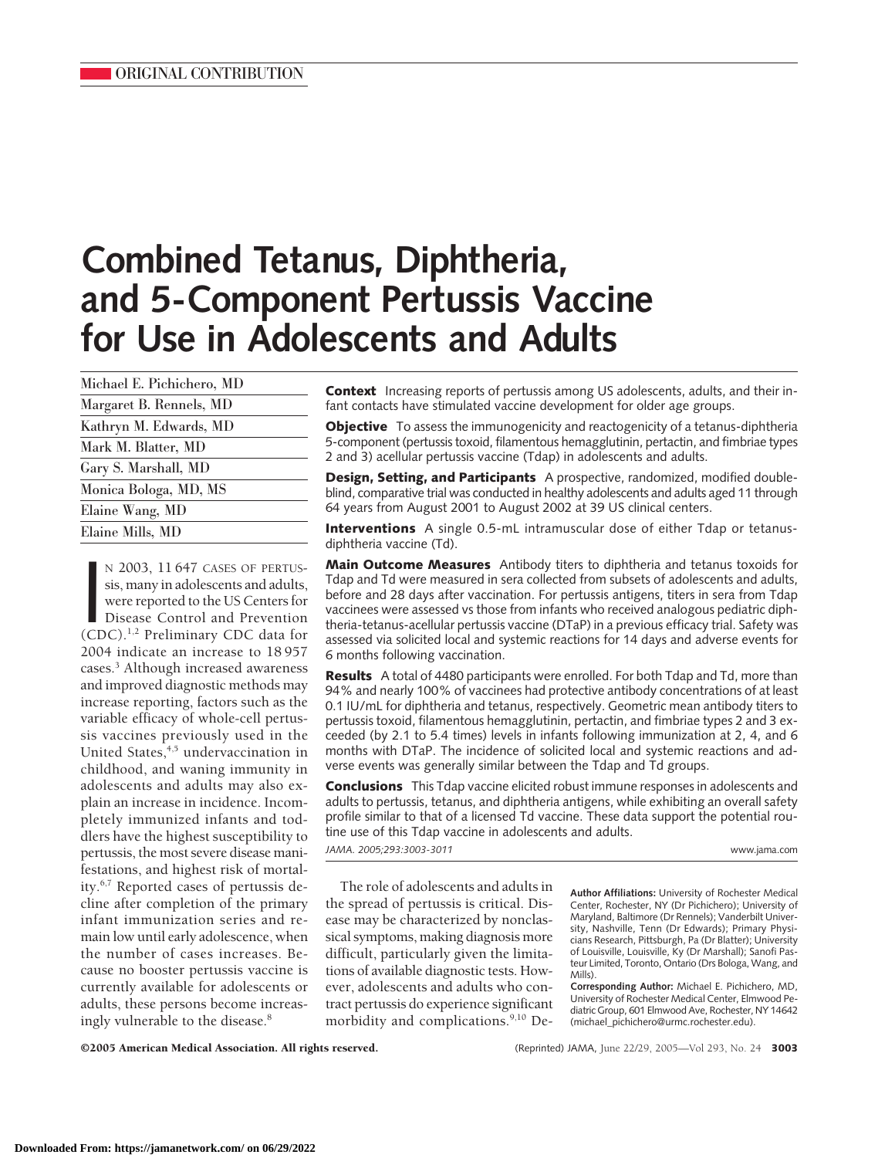# **Combined Tetanus, Diphtheria, and 5-Component Pertussis Vaccine for Use in Adolescents and Adults**

N 2003, 11 647 CASES OF PERTUS-<br>sis, many in adolescents and adults,<br>were reported to the US Centers for<br>Disease Control and Prevention<br>(CDC).<sup>1,2</sup> Preliminary CDC data for N 2003, 11 647 CASES OF PERTUSsis, many in adolescents and adults, were reported to the US Centers for Disease Control and Prevention 2004 indicate an increase to 18 957 cases.3 Although increased awareness and improved diagnostic methods may increase reporting, factors such as the variable efficacy of whole-cell pertussis vaccines previously used in the United States, $4,5$  undervaccination in childhood, and waning immunity in adolescents and adults may also explain an increase in incidence. Incompletely immunized infants and toddlers have the highest susceptibility to pertussis, the most severe disease manifestations, and highest risk of mortality.6,7 Reported cases of pertussis decline after completion of the primary infant immunization series and remain low until early adolescence, when the number of cases increases. Because no booster pertussis vaccine is currently available for adolescents or adults, these persons become increasingly vulnerable to the disease.<sup>8</sup>

**Context** Increasing reports of pertussis among US adolescents, adults, and their infant contacts have stimulated vaccine development for older age groups.

**Objective** To assess the immunogenicity and reactogenicity of a tetanus-diphtheria 5-component (pertussis toxoid, filamentous hemagglutinin, pertactin, and fimbriae types 2 and 3) acellular pertussis vaccine (Tdap) in adolescents and adults.

**Design, Setting, and Participants** A prospective, randomized, modified doubleblind, comparative trial was conducted in healthy adolescents and adults aged 11 through 64 years from August 2001 to August 2002 at 39 US clinical centers.

**Interventions** A single 0.5-mL intramuscular dose of either Tdap or tetanusdiphtheria vaccine (Td).

**Main Outcome Measures** Antibody titers to diphtheria and tetanus toxoids for Tdap and Td were measured in sera collected from subsets of adolescents and adults, before and 28 days after vaccination. For pertussis antigens, titers in sera from Tdap vaccinees were assessed vs those from infants who received analogous pediatric diphtheria-tetanus-acellular pertussis vaccine (DTaP) in a previous efficacy trial. Safety was assessed via solicited local and systemic reactions for 14 days and adverse events for 6 months following vaccination.

**Results** A total of 4480 participants were enrolled. For both Tdap and Td, more than 94% and nearly 100% of vaccinees had protective antibody concentrations of at least 0.1 IU/mL for diphtheria and tetanus, respectively. Geometric mean antibody titers to pertussis toxoid, filamentous hemagglutinin, pertactin, and fimbriae types 2 and 3 exceeded (by 2.1 to 5.4 times) levels in infants following immunization at 2, 4, and 6 months with DTaP. The incidence of solicited local and systemic reactions and adverse events was generally similar between the Tdap and Td groups.

**Conclusions** This Tdap vaccine elicited robust immune responses in adolescents and adults to pertussis, tetanus, and diphtheria antigens, while exhibiting an overall safety profile similar to that of a licensed Td vaccine. These data support the potential routine use of this Tdap vaccine in adolescents and adults. *JAMA. 2005;293:3003-3011* www.jama.com

The role of adolescents and adults in the spread of pertussis is critical. Disease may be characterized by nonclassical symptoms, making diagnosis more difficult, particularly given the limitations of available diagnostic tests. However, adolescents and adults who contract pertussis do experience significant morbidity and complications.<sup>9,10</sup> De-

**Author Affiliations:** University of Rochester Medical Center, Rochester, NY (Dr Pichichero); University of Maryland, Baltimore (Dr Rennels); Vanderbilt University, Nashville, Tenn (Dr Edwards); Primary Physicians Research, Pittsburgh, Pa (Dr Blatter); University of Louisville, Louisville, Ky (Dr Marshall); Sanofi Pasteur Limited, Toronto, Ontario (Drs Bologa, Wang, and Mills).

**Corresponding Author:** Michael E. Pichichero, MD, University of Rochester Medical Center, Elmwood Pediatric Group, 601 Elmwood Ave, Rochester, NY 14642 (michael\_pichichero@urmc.rochester.edu).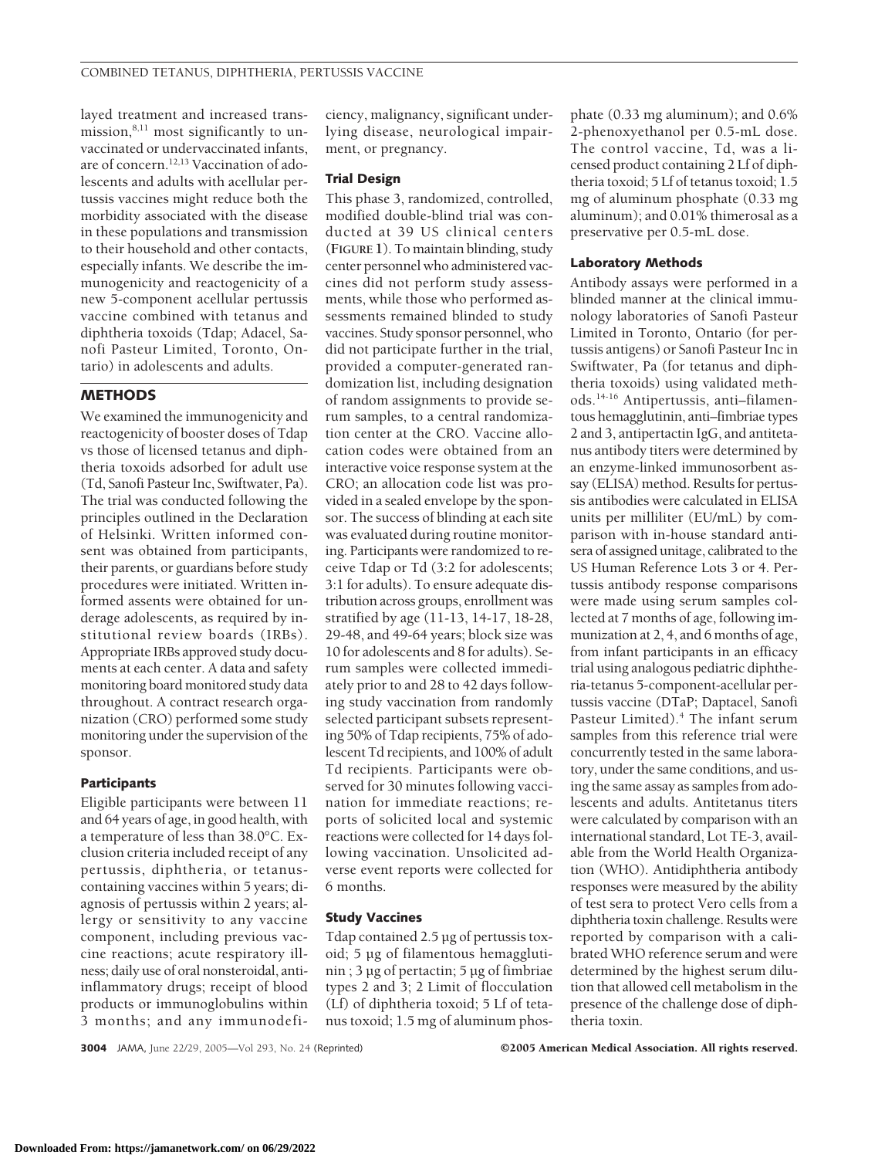layed treatment and increased transmission, $8,11$  most significantly to unvaccinated or undervaccinated infants, are of concern.12,13 Vaccination of adolescents and adults with acellular pertussis vaccines might reduce both the morbidity associated with the disease in these populations and transmission to their household and other contacts, especially infants. We describe the immunogenicity and reactogenicity of a new 5-component acellular pertussis vaccine combined with tetanus and diphtheria toxoids (Tdap; Adacel, Sanofi Pasteur Limited, Toronto, Ontario) in adolescents and adults.

# **METHODS**

We examined the immunogenicity and reactogenicity of booster doses of Tdap vs those of licensed tetanus and diphtheria toxoids adsorbed for adult use (Td, Sanofi Pasteur Inc, Swiftwater, Pa). The trial was conducted following the principles outlined in the Declaration of Helsinki. Written informed consent was obtained from participants, their parents, or guardians before study procedures were initiated. Written informed assents were obtained for underage adolescents, as required by institutional review boards (IRBs). Appropriate IRBs approved study documents at each center. A data and safety monitoring board monitored study data throughout. A contract research organization (CRO) performed some study monitoring under the supervision of the sponsor.

#### **Participants**

Eligible participants were between 11 and 64 years of age, in good health, with a temperature of less than 38.0°C. Exclusion criteria included receipt of any pertussis, diphtheria, or tetanuscontaining vaccines within 5 years; diagnosis of pertussis within 2 years; allergy or sensitivity to any vaccine component, including previous vaccine reactions; acute respiratory illness; daily use of oral nonsteroidal, antiinflammatory drugs; receipt of blood products or immunoglobulins within 3 months; and any immunodeficiency, malignancy, significant underlying disease, neurological impairment, or pregnancy.

## **Trial Design**

This phase 3, randomized, controlled, modified double-blind trial was conducted at 39 US clinical centers (**FIGURE 1**). To maintain blinding, study center personnel who administered vaccines did not perform study assessments, while those who performed assessments remained blinded to study vaccines. Study sponsor personnel, who did not participate further in the trial, provided a computer-generated randomization list, including designation of random assignments to provide serum samples, to a central randomization center at the CRO. Vaccine allocation codes were obtained from an interactive voice response system at the CRO; an allocation code list was provided in a sealed envelope by the sponsor. The success of blinding at each site was evaluated during routine monitoring. Participants were randomized to receive Tdap or Td (3:2 for adolescents; 3:1 for adults). To ensure adequate distribution across groups, enrollment was stratified by age (11-13, 14-17, 18-28, 29-48, and 49-64 years; block size was 10 for adolescents and 8 for adults). Serum samples were collected immediately prior to and 28 to 42 days following study vaccination from randomly selected participant subsets representing 50% of Tdap recipients, 75% of adolescent Td recipients, and 100% of adult Td recipients. Participants were observed for 30 minutes following vaccination for immediate reactions; reports of solicited local and systemic reactions were collected for 14 days following vaccination. Unsolicited adverse event reports were collected for 6 months.

## **Study Vaccines**

Tdap contained 2.5 µg of pertussis toxoid; 5 µg of filamentous hemagglutinin ; 3 µg of pertactin; 5 µg of fimbriae types 2 and 3; 2 Limit of flocculation (Lf) of diphtheria toxoid; 5 Lf of tetanus toxoid; 1.5 mg of aluminum phos-

phate (0.33 mg aluminum); and 0.6% 2-phenoxyethanol per 0.5-mL dose. The control vaccine, Td, was a licensed product containing 2 Lf of diphtheria toxoid; 5 Lf of tetanus toxoid; 1.5 mg of aluminum phosphate (0.33 mg aluminum); and 0.01% thimerosal as a preservative per 0.5-mL dose.

## **Laboratory Methods**

Antibody assays were performed in a blinded manner at the clinical immunology laboratories of Sanofi Pasteur Limited in Toronto, Ontario (for pertussis antigens) or Sanofi Pasteur Inc in Swiftwater, Pa (for tetanus and diphtheria toxoids) using validated methods.14-16 Antipertussis, anti–filamentous hemagglutinin, anti–fimbriae types 2 and 3, antipertactin IgG, and antitetanus antibody titers were determined by an enzyme-linked immunosorbent assay (ELISA) method. Results for pertussis antibodies were calculated in ELISA units per milliliter (EU/mL) by comparison with in-house standard antisera of assigned unitage, calibrated to the US Human Reference Lots 3 or 4. Pertussis antibody response comparisons were made using serum samples collected at 7 months of age, following immunization at 2, 4, and 6 months of age, from infant participants in an efficacy trial using analogous pediatric diphtheria-tetanus 5-component-acellular pertussis vaccine (DTaP; Daptacel, Sanofi Pasteur Limited).4 The infant serum samples from this reference trial were concurrently tested in the same laboratory, under the same conditions, and using the same assay as samples from adolescents and adults. Antitetanus titers were calculated by comparison with an international standard, Lot TE-3, available from the World Health Organization (WHO). Antidiphtheria antibody responses were measured by the ability of test sera to protect Vero cells from a diphtheria toxin challenge. Results were reported by comparison with a calibrated WHO reference serum and were determined by the highest serum dilution that allowed cell metabolism in the presence of the challenge dose of diphtheria toxin.

**3004** JAMA, June 22/29, 2005—Vol 293, No. 24 (Reprinted) ©2005 American Medical Association. All rights reserved.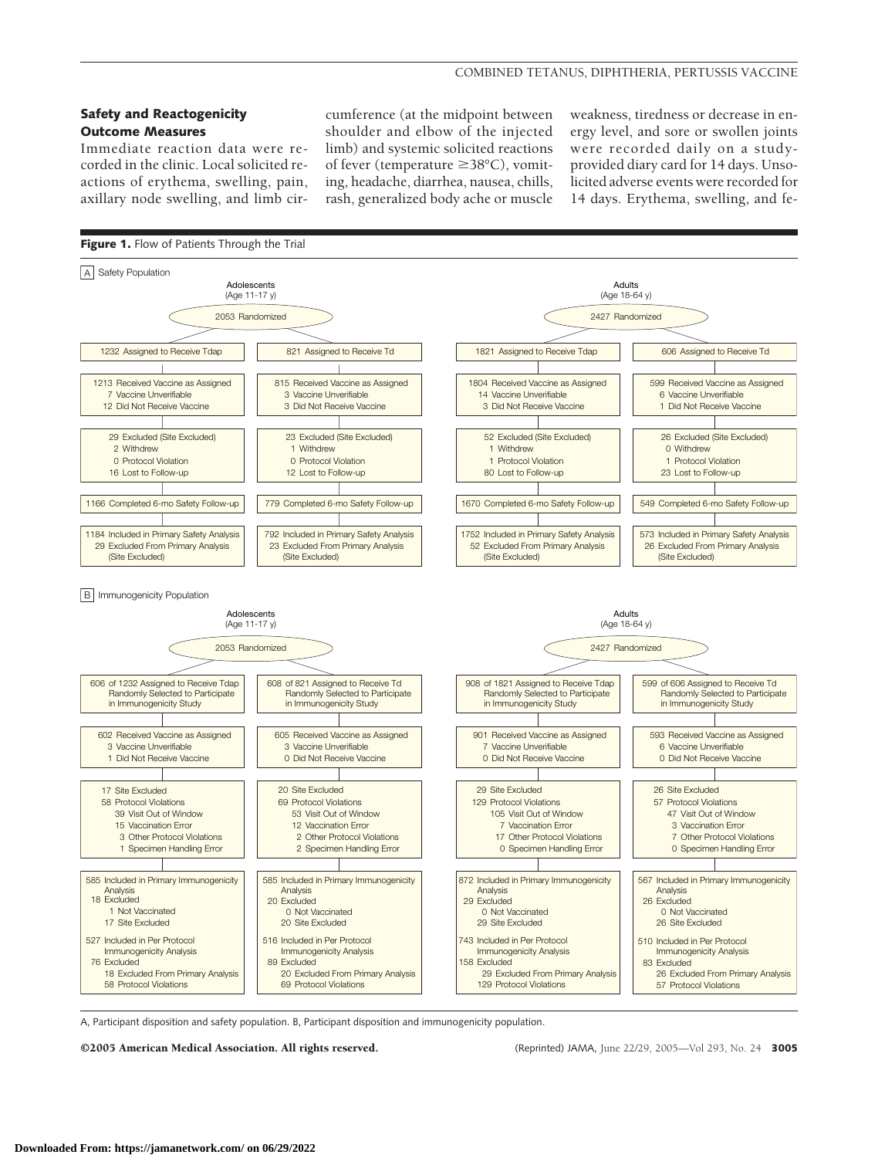## **Safety and Reactogenicity Outcome Measures**

Immediate reaction data were recorded in the clinic. Local solicited reactions of erythema, swelling, pain, axillary node swelling, and limb circumference (at the midpoint between shoulder and elbow of the injected limb) and systemic solicited reactions of fever (temperature  $\geq 38^{\circ}$ C), vomiting, headache, diarrhea, nausea, chills, rash, generalized body ache or muscle

weakness, tiredness or decrease in energy level, and sore or swollen joints were recorded daily on a studyprovided diary card for 14 days. Unsolicited adverse events were recorded for 14 days. Erythema, swelling, and fe-



A, Participant disposition and safety population. B, Participant disposition and immunogenicity population.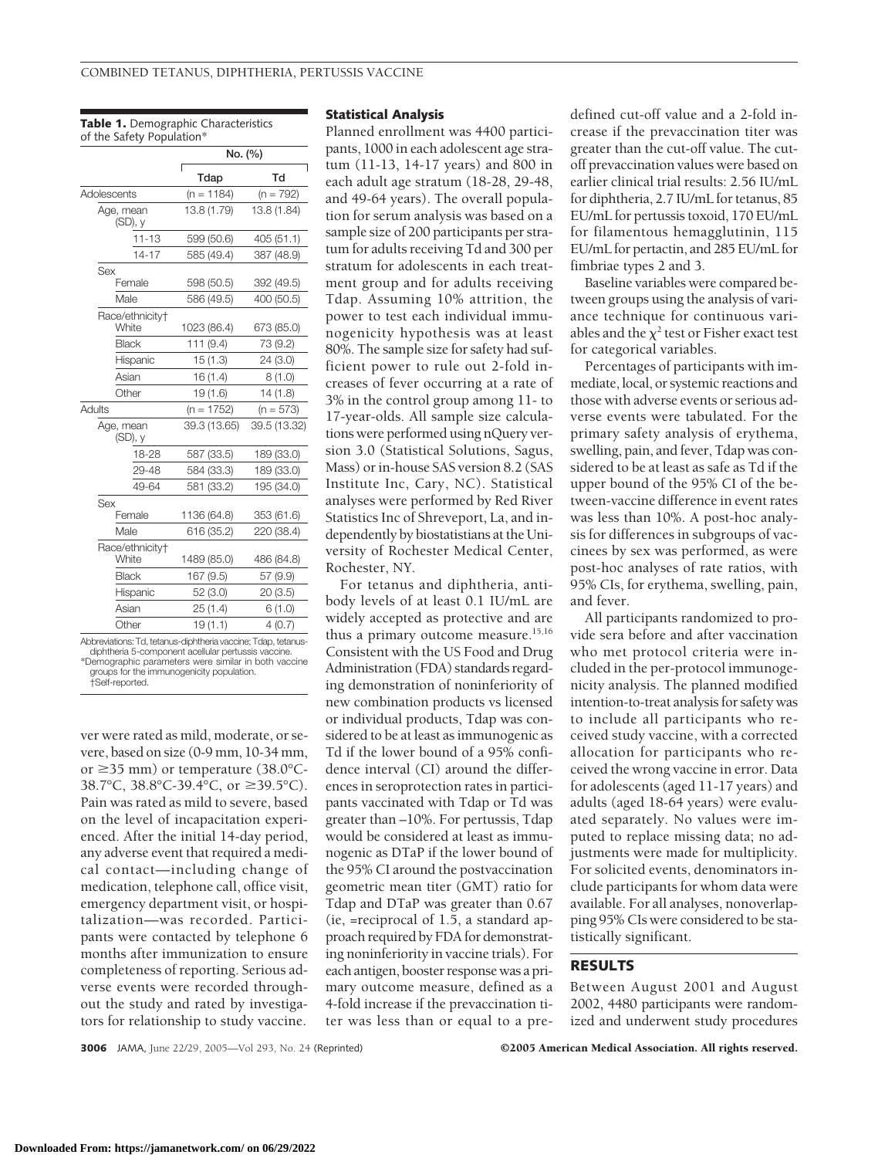**Table 1.** Demographic Characteristics of the Safety Population\*

| No. (%)      |                          |  |
|--------------|--------------------------|--|
| Tdap         | Td                       |  |
| $(n = 1184)$ | $(n = 792)$              |  |
| 13.8 (1.79)  | 13.8 (1.84)              |  |
| 599 (50.6)   | 405 (51.1)               |  |
| 585 (49.4)   | 387 (48.9)               |  |
|              | 392 (49.5)               |  |
|              | 400 (50.5)               |  |
| 1023 (86.4)  | 673 (85.0)               |  |
| 111 (9.4)    | 73 (9.2)                 |  |
| 15(1.3)      | 24 (3.0)                 |  |
| 16(1.4)      | (0.1)8                   |  |
| 19 (1.6)     | 14(1.8)                  |  |
| $(n = 1752)$ | $(n = 573)$              |  |
| 39.3 (13.65) | 39.5 (13.32)             |  |
| 587 (33.5)   | 189 (33.0)               |  |
| 584 (33.3)   | 189 (33.0)               |  |
| 581 (33.2)   | 195 (34.0)               |  |
| 1136 (64.8)  | 353 (61.6)               |  |
| 616 (35.2)   | 220 (38.4)               |  |
| 1489 (85.0)  | 486 (84.8)               |  |
| 167 (9.5)    | 57 (9.9)                 |  |
| 52 (3.0)     | 20(3.5)                  |  |
| 25(1.4)      | 6(1.0)                   |  |
| 19(1.1)      | 4(0.7)                   |  |
|              | 598 (50.5)<br>586 (49.5) |  |

Abbreviations: Td, tetanus-diphtheria vaccine; Tdap, tetanusdiphtheria 5-component acellular pertussis vaccine. \*Demographic parameters were similar in both vaccine groups for the immunogenicity population. †Self-reported.

ver were rated as mild, moderate, or severe, based on size (0-9 mm, 10-34 mm, or  $\geq$ 35 mm) or temperature (38.0°C-38.7°C, 38.8°C-39.4°C, or ≥39.5°C). Pain was rated as mild to severe, based on the level of incapacitation experienced. After the initial 14-day period, any adverse event that required a medical contact—including change of medication, telephone call, office visit, emergency department visit, or hospitalization—was recorded. Participants were contacted by telephone 6 months after immunization to ensure completeness of reporting. Serious adverse events were recorded throughout the study and rated by investigators for relationship to study vaccine.

#### **Statistical Analysis**

Planned enrollment was 4400 participants, 1000 in each adolescent age stratum (11-13, 14-17 years) and 800 in each adult age stratum (18-28, 29-48, and 49-64 years). The overall population for serum analysis was based on a sample size of 200 participants per stratum for adults receiving Td and 300 per stratum for adolescents in each treatment group and for adults receiving Tdap. Assuming 10% attrition, the power to test each individual immunogenicity hypothesis was at least 80%. The sample size for safety had sufficient power to rule out 2-fold increases of fever occurring at a rate of 3% in the control group among 11- to 17-year-olds. All sample size calculations were performed using nQuery version 3.0 (Statistical Solutions, Sagus, Mass) or in-house SAS version 8.2 (SAS Institute Inc, Cary, NC). Statistical analyses were performed by Red River Statistics Inc of Shreveport, La, and independently by biostatistians at the University of Rochester Medical Center, Rochester, NY.

For tetanus and diphtheria, antibody levels of at least 0.1 IU/mL are widely accepted as protective and are thus a primary outcome measure.<sup>15,16</sup> Consistent with the US Food and Drug Administration (FDA) standards regarding demonstration of noninferiority of new combination products vs licensed or individual products, Tdap was considered to be at least as immunogenic as Td if the lower bound of a 95% confidence interval (CI) around the differences in seroprotection rates in participants vaccinated with Tdap or Td was greater than –10%. For pertussis, Tdap would be considered at least as immunogenic as DTaP if the lower bound of the 95% CI around the postvaccination geometric mean titer (GMT) ratio for Tdap and DTaP was greater than 0.67 (ie, =reciprocal of 1.5, a standard approach required by FDA for demonstrating noninferiority in vaccine trials). For each antigen, booster response was a primary outcome measure, defined as a 4-fold increase if the prevaccination titer was less than or equal to a pre-

defined cut-off value and a 2-fold increase if the prevaccination titer was greater than the cut-off value. The cutoff prevaccination values were based on earlier clinical trial results: 2.56 IU/mL for diphtheria, 2.7 IU/mL for tetanus, 85 EU/mL for pertussis toxoid, 170 EU/mL for filamentous hemagglutinin, 115 EU/mL for pertactin, and 285 EU/mL for fimbriae types 2 and 3.

Baseline variables were compared between groups using the analysis of variance technique for continuous variables and the  $\chi^2$  test or Fisher exact test for categorical variables.

Percentages of participants with immediate, local, or systemic reactions and those with adverse events or serious adverse events were tabulated. For the primary safety analysis of erythema, swelling, pain, and fever, Tdap was considered to be at least as safe as Td if the upper bound of the 95% CI of the between-vaccine difference in event rates was less than 10%. A post-hoc analysis for differences in subgroups of vaccinees by sex was performed, as were post-hoc analyses of rate ratios, with 95% CIs, for erythema, swelling, pain, and fever.

All participants randomized to provide sera before and after vaccination who met protocol criteria were included in the per-protocol immunogenicity analysis. The planned modified intention-to-treat analysis for safety was to include all participants who received study vaccine, with a corrected allocation for participants who received the wrong vaccine in error. Data for adolescents (aged 11-17 years) and adults (aged 18-64 years) were evaluated separately. No values were imputed to replace missing data; no adjustments were made for multiplicity. For solicited events, denominators include participants for whom data were available. For all analyses, nonoverlapping 95% CIs were considered to be statistically significant.

# **RESULTS**

Between August 2001 and August 2002, 4480 participants were randomized and underwent study procedures

**3006** JAMA, June 22/29, 2005—Vol 293, No. 24 (Reprinted) ©2005 American Medical Association. All rights reserved.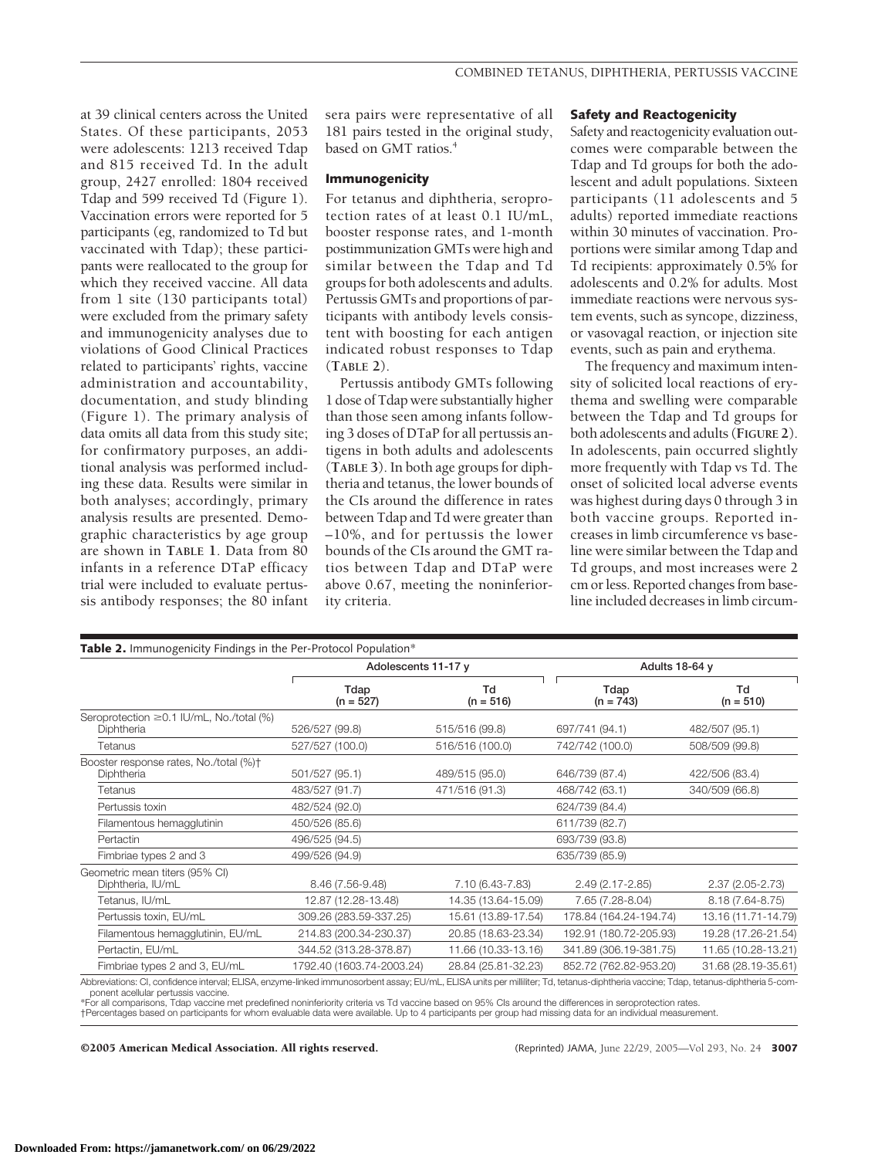at 39 clinical centers across the United States. Of these participants, 2053 were adolescents: 1213 received Tdap and 815 received Td. In the adult group, 2427 enrolled: 1804 received Tdap and 599 received Td (Figure 1). Vaccination errors were reported for 5 participants (eg, randomized to Td but vaccinated with Tdap); these participants were reallocated to the group for which they received vaccine. All data from 1 site (130 participants total) were excluded from the primary safety and immunogenicity analyses due to violations of Good Clinical Practices related to participants' rights, vaccine administration and accountability, documentation, and study blinding (Figure 1). The primary analysis of data omits all data from this study site; for confirmatory purposes, an additional analysis was performed including these data. Results were similar in both analyses; accordingly, primary analysis results are presented. Demographic characteristics by age group are shown in **TABLE 1**. Data from 80 infants in a reference DTaP efficacy trial were included to evaluate pertussis antibody responses; the 80 infant sera pairs were representative of all 181 pairs tested in the original study, based on GMT ratios.<sup>4</sup>

#### **Immunogenicity**

For tetanus and diphtheria, seroprotection rates of at least 0.1 IU/mL, booster response rates, and 1-month postimmunization GMTs were high and similar between the Tdap and Td groups for both adolescents and adults. Pertussis GMTs and proportions of participants with antibody levels consistent with boosting for each antigen indicated robust responses to Tdap (**TABLE 2**).

Pertussis antibody GMTs following 1 dose of Tdap were substantially higher than those seen among infants following 3 doses of DTaP for all pertussis antigens in both adults and adolescents (**TABLE 3**). In both age groups for diphtheria and tetanus, the lower bounds of the CIs around the difference in rates between Tdap and Td were greater than –10%, and for pertussis the lower bounds of the CIs around the GMT ratios between Tdap and DTaP were above 0.67, meeting the noninferiority criteria.

#### **Safety and Reactogenicity**

Safety and reactogenicity evaluation outcomes were comparable between the Tdap and Td groups for both the adolescent and adult populations. Sixteen participants (11 adolescents and 5 adults) reported immediate reactions within 30 minutes of vaccination. Proportions were similar among Tdap and Td recipients: approximately 0.5% for adolescents and 0.2% for adults. Most immediate reactions were nervous system events, such as syncope, dizziness, or vasovagal reaction, or injection site events, such as pain and erythema.

The frequency and maximum intensity of solicited local reactions of erythema and swelling were comparable between the Tdap and Td groups for both adolescents and adults (**FIGURE 2**). In adolescents, pain occurred slightly more frequently with Tdap vs Td. The onset of solicited local adverse events was highest during days 0 through 3 in both vaccine groups. Reported increases in limb circumference vs baseline were similar between the Tdap and Td groups, and most increases were 2 cm or less. Reported changes from baseline included decreases in limb circum-

|                                                                                                                                                                                      | Table 2. Immunogenicity Findings in the Per-Protocol Population*<br>Adolescents 11-17 y |                     | Adults 18-64 y         |                     |
|--------------------------------------------------------------------------------------------------------------------------------------------------------------------------------------|-----------------------------------------------------------------------------------------|---------------------|------------------------|---------------------|
|                                                                                                                                                                                      | Tdap<br>$(n = 527)$                                                                     | Td<br>$(n = 516)$   | Tdap<br>$(n = 743)$    | Td<br>$(n = 510)$   |
| Seroprotection ≥0.1 IU/mL, No./total (%)<br>Diphtheria                                                                                                                               | 526/527 (99.8)                                                                          | 515/516 (99.8)      | 697/741 (94.1)         | 482/507 (95.1)      |
| Tetanus                                                                                                                                                                              | 527/527 (100.0)                                                                         | 516/516 (100.0)     | 742/742 (100.0)        | 508/509 (99.8)      |
| Booster response rates, No./total (%)+<br>Diphtheria                                                                                                                                 | 501/527 (95.1)                                                                          | 489/515 (95.0)      | 646/739 (87.4)         | 422/506 (83.4)      |
| Tetanus                                                                                                                                                                              | 483/527 (91.7)                                                                          | 471/516 (91.3)      | 468/742 (63.1)         | 340/509 (66.8)      |
| Pertussis toxin                                                                                                                                                                      | 482/524 (92.0)                                                                          |                     | 624/739 (84.4)         |                     |
| Filamentous hemagglutinin                                                                                                                                                            | 450/526 (85.6)                                                                          |                     | 611/739 (82.7)         |                     |
| Pertactin                                                                                                                                                                            | 496/525 (94.5)                                                                          |                     | 693/739 (93.8)         |                     |
| Fimbriae types 2 and 3                                                                                                                                                               | 499/526 (94.9)                                                                          |                     | 635/739 (85.9)         |                     |
| Geometric mean titers (95% CI)<br>Diphtheria, IU/mL                                                                                                                                  | 8.46 (7.56-9.48)                                                                        | 7.10 (6.43-7.83)    | $2.49(2.17 - 2.85)$    | $2.37(2.05 - 2.73)$ |
| Tetanus, IU/mL                                                                                                                                                                       | 12.87 (12.28-13.48)                                                                     | 14.35 (13.64-15.09) | 7.65 (7.28-8.04)       | 8.18 (7.64-8.75)    |
| Pertussis toxin, EU/mL                                                                                                                                                               | 309.26 (283.59-337.25)                                                                  | 15.61 (13.89-17.54) | 178.84 (164.24-194.74) | 13.16 (11.71-14.79) |
| Filamentous hemagglutinin, EU/mL                                                                                                                                                     | 214.83 (200.34-230.37)                                                                  | 20.85 (18.63-23.34) | 192.91 (180.72-205.93) | 19.28 (17.26-21.54) |
| Pertactin, EU/mL                                                                                                                                                                     | 344.52 (313.28-378.87)                                                                  | 11.66 (10.33-13.16) | 341.89 (306.19-381.75) | 11.65 (10.28-13.21) |
| Fimbriae types 2 and 3, EU/mL                                                                                                                                                        | 1792.40 (1603.74-2003.24)                                                               | 28.84 (25.81-32.23) | 852.72 (762.82-953.20) | 31.68 (28.19-35.61) |
| Abbreviations: CI, confidence interval; ELISA, enzyme-linked immunosorbent assay; EU/mL, ELISA units per milliliter; Td, tetanus-diphtheria vaccine; Tdap, tetanus-diphtheria 5-com- |                                                                                         |                     |                        |                     |

ponent acellular pertussis vaccine.

\*For all comparisons, Tdap vaccine met predefined noninferiority criteria vs Td vaccine based on 95% CIs around the differences in seroprotection rates.

†Percentages based on participants for whom evaluable data were available. Up to 4 participants per group had missing data for an individual measurement.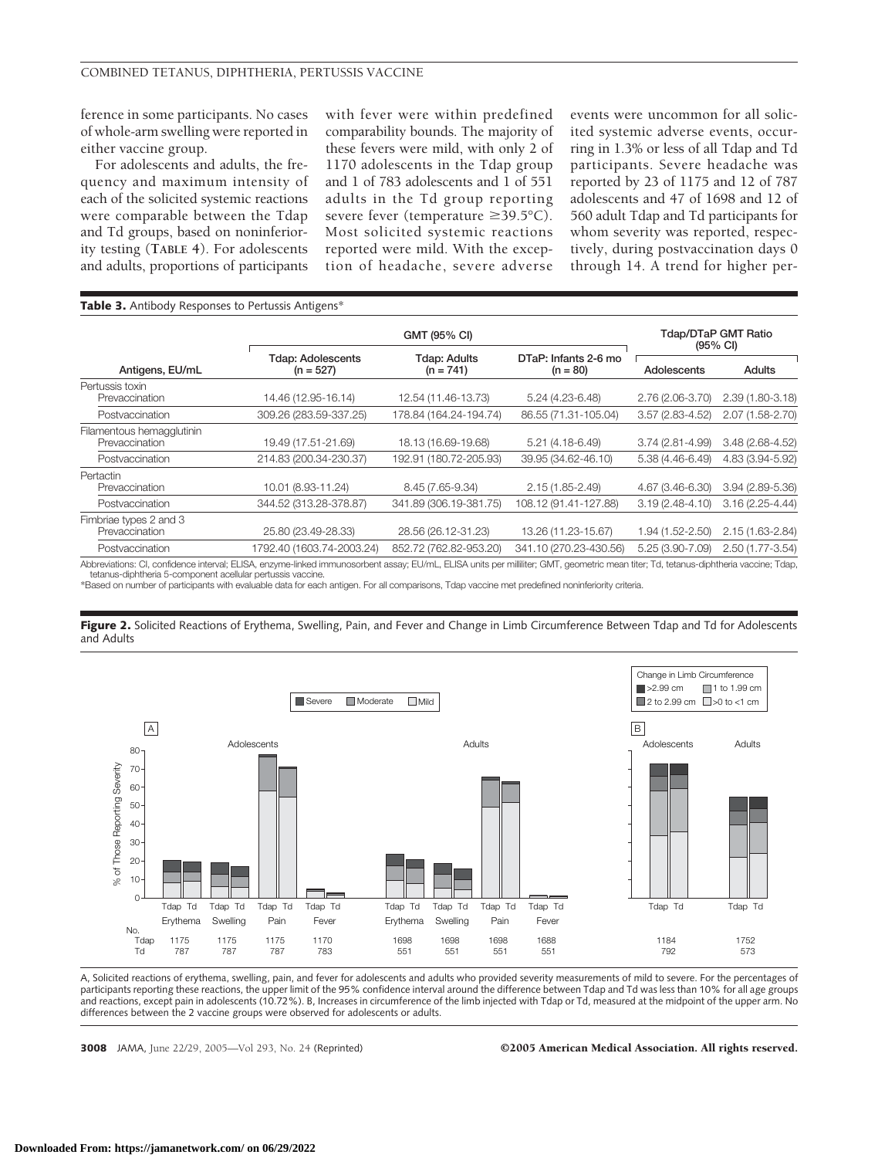ference in some participants. No cases of whole-arm swelling were reported in either vaccine group.

For adolescents and adults, the frequency and maximum intensity of each of the solicited systemic reactions were comparable between the Tdap and Td groups, based on noninferiority testing (**TABLE 4**). For adolescents and adults, proportions of participants with fever were within predefined comparability bounds. The majority of these fevers were mild, with only 2 of 1170 adolescents in the Tdap group and 1 of 783 adolescents and 1 of 551 adults in the Td group reporting severe fever (temperature  $\geq$ 39.5°C). Most solicited systemic reactions reported were mild. With the exception of headache, severe adverse

events were uncommon for all solicited systemic adverse events, occurring in 1.3% or less of all Tdap and Td participants. Severe headache was reported by 23 of 1175 and 12 of 787 adolescents and 47 of 1698 and 12 of 560 adult Tdap and Td participants for whom severity was reported, respectively, during postvaccination days 0 through 14. A trend for higher per-

| Table 3. Antibody Responses to Pertussis Antigens* |                                         |                                    |                                    |                                                  |                     |  |
|----------------------------------------------------|-----------------------------------------|------------------------------------|------------------------------------|--------------------------------------------------|---------------------|--|
|                                                    | GMT (95% CI)                            |                                    |                                    | <b>Tdap/DTaP GMT Ratio</b><br>$(95% \text{ Cl})$ |                     |  |
| Antigens, EU/mL                                    | <b>Tdap: Adolescents</b><br>$(n = 527)$ | <b>Tdap: Adults</b><br>$(n = 741)$ | DTaP: Infants 2-6 mo<br>$(n = 80)$ | Adolescents                                      | <b>Adults</b>       |  |
| Pertussis toxin<br>Prevaccination                  | 14.46 (12.95-16.14)                     | 12.54 (11.46-13.73)                | 5.24 (4.23-6.48)                   | 2.76 (2.06-3.70)                                 | $2.39(1.80-3.18)$   |  |
| Postvaccination                                    | 309.26 (283.59-337.25)                  | 178.84 (164.24-194.74)             | 86.55 (71.31-105.04)               | 3.57 (2.83-4.52)                                 | 2.07 (1.58-2.70)    |  |
| Filamentous hemagglutinin<br>Prevaccination        | 19.49 (17.51-21.69)                     | 18.13 (16.69-19.68)                | $5.21(4.18-6.49)$                  | 3.74 (2.81-4.99)                                 | $3.48(2.68 - 4.52)$ |  |
| Postvaccination                                    | 214.83 (200.34-230.37)                  | 192.91 (180.72-205.93)             | 39.95 (34.62-46.10)                | $5.38(4.46-6.49)$                                | 4.83 (3.94-5.92)    |  |
| Pertactin<br>Prevaccination                        | 10.01 (8.93-11.24)                      | 8.45 (7.65-9.34)                   | $2.15(1.85 - 2.49)$                | 4.67 (3.46-6.30)                                 | $3.94(2.89 - 5.36)$ |  |
| Postvaccination                                    | 344.52 (313.28-378.87)                  | 341.89 (306.19-381.75)             | 108.12 (91.41-127.88)              | $3.19(2.48 - 4.10)$                              | $3.16(2.25 - 4.44)$ |  |
| Fimbriae types 2 and 3<br>Prevaccination           | 25.80 (23.49-28.33)                     | 28.56 (26.12-31.23)                | 13.26 (11.23-15.67)                | 1.94 (1.52-2.50)                                 | 2.15 (1.63-2.84)    |  |
| Postvaccination                                    | 1792.40 (1603.74-2003.24)               | 852.72 (762.82-953.20)             | 341.10 (270.23-430.56)             | 5.25 (3.90-7.09)                                 | 2.50 (1.77-3.54)    |  |
|                                                    |                                         |                                    |                                    |                                                  |                     |  |

Abbreviations: CI, confidence interval; ELISA, enzyme-linked immunosorbent assay; EU/mL, ELISA units per milliliter; GMT, geometric mean titer; Td, tetanus-diphtheria vaccine; Tdap, tetanus-diphtheria 5-component acellular pertussis vaccine.

\*Based on number of participants with evaluable data for each antigen. For all comparisons, Tdap vaccine met predefined noninferiority criteria.

**Figure 2.** Solicited Reactions of Erythema, Swelling, Pain, and Fever and Change in Limb Circumference Between Tdap and Td for Adolescents and Adults



A, Solicited reactions of erythema, swelling, pain, and fever for adolescents and adults who provided severity measurements of mild to severe. For the percentages of participants reporting these reactions, the upper limit of the 95% confidence interval around the difference between Tdap and Td was less than 10% for all age groups and reactions, except pain in adolescents (10.72%). B, Increases in circumference of the limb injected with Tdap or Td, measured at the midpoint of the upper arm. No differences between the 2 vaccine groups were observed for adolescents or adults.

#### **3008** JAMA, June 22/29, 2005—Vol 293, No. 24 (Reprinted) ©2005 American Medical Association. All rights reserved.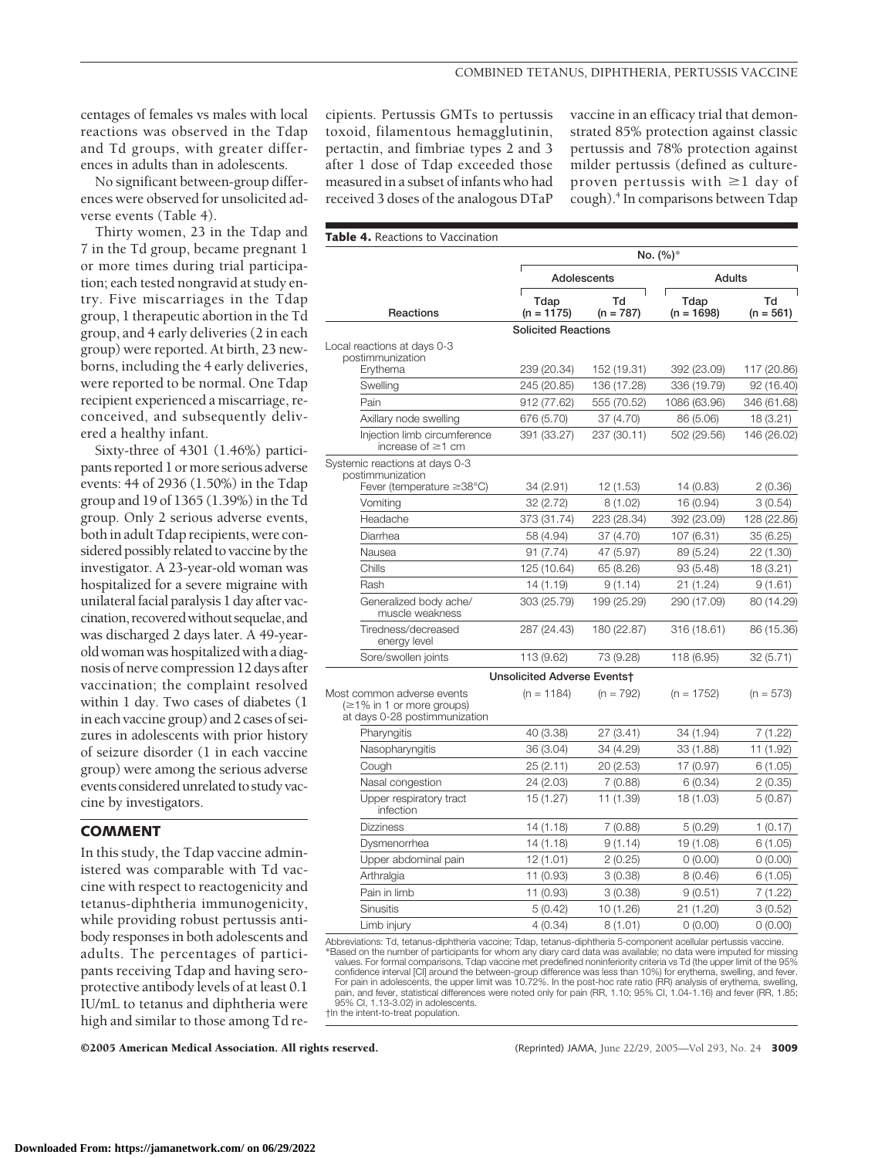centages of females vs males with local reactions was observed in the Tdap and Td groups, with greater differences in adults than in adolescents.

No significant between-group differences were observed for unsolicited adverse events (Table 4).

Thirty women, 23 in the Tdap and 7 in the Td group, became pregnant 1 or more times during trial participation; each tested nongravid at study entry. Five miscarriages in the Tdap group, 1 therapeutic abortion in the Td group, and 4 early deliveries (2 in each group) were reported. At birth, 23 newborns, including the 4 early deliveries, were reported to be normal. One Tdap recipient experienced a miscarriage, reconceived, and subsequently delivered a healthy infant.

Sixty-three of 4301 (1.46%) participants reported 1 ormore serious adverse events: 44 of 2936 (1.50%) in the Tdap group and 19 of 1365 (1.39%) in the Td group. Only 2 serious adverse events, both in adult Tdap recipients, were considered possibly related to vaccine by the investigator. A 23-year-old woman was hospitalized for a severe migraine with unilateral facial paralysis 1 day after vaccination, recoveredwithout sequelae,and was discharged 2 days later. A 49-yearold woman was hospitalized with a diagnosis of nerve compression 12 days after vaccination; the complaint resolved within 1 day. Two cases of diabetes (1 in each vaccine group) and 2 cases of seizures in adolescents with prior history of seizure disorder (1 in each vaccine group) were among the serious adverse events considered unrelated to study vaccine by investigators.

## **COMMENT**

In this study, the Tdap vaccine administered was comparable with Td vaccine with respect to reactogenicity and tetanus-diphtheria immunogenicity, while providing robust pertussis antibody responses in both adolescents and adults. The percentages of participants receiving Tdap and having seroprotective antibody levels of at least 0.1 IU/mL to tetanus and diphtheria were high and similar to those among Td recipients. Pertussis GMTs to pertussis toxoid, filamentous hemagglutinin, pertactin, and fimbriae types 2 and 3 after 1 dose of Tdap exceeded those measured in a subset of infants who had received 3 doses of the analogous DTaP

vaccine in an efficacy trial that demonstrated 85% protection against classic pertussis and 78% protection against milder pertussis (defined as cultureproven pertussis with  $\geq 1$  day of cough).4 In comparisons between Tdap

|                                                                                                 | No. (%)*                    |                   |                      |                   |
|-------------------------------------------------------------------------------------------------|-----------------------------|-------------------|----------------------|-------------------|
|                                                                                                 |                             | Adolescents       | <b>Adults</b>        |                   |
| Reactions                                                                                       | Tdap<br>$(n = 1175)$        | Td<br>$(n = 787)$ | Tdap<br>$(n = 1698)$ | Td<br>$(n = 561)$ |
|                                                                                                 | <b>Solicited Reactions</b>  |                   |                      |                   |
| Local reactions at days 0-3                                                                     |                             |                   |                      |                   |
| postimmunization<br>Erythema                                                                    | 239 (20.34)                 | 152 (19.31)       | 392 (23.09)          | 117 (20.86)       |
| Swelling                                                                                        | 245 (20.85)                 | 136 (17.28)       | 336 (19.79)          | 92 (16.40)        |
| Pain                                                                                            | 912 (77.62)                 | 555 (70.52)       | 1086 (63.96)         | 346 (61.68)       |
| Axillary node swelling                                                                          | 676 (5.70)                  | 37 (4.70)         | 86 (5.06)            | 18 (3.21)         |
| Injection limb circumference<br>increase of $\geq$ 1 cm                                         | 391 (33.27)                 | 237 (30.11)       | 502 (29.56)          | 146 (26.02)       |
| Systemic reactions at days 0-3<br>postimmunization                                              |                             |                   |                      |                   |
| Fever (temperature $\geq$ 38°C)                                                                 | 34 (2.91)                   | 12 (1.53)         | 14 (0.83)            | 2(0.36)           |
| Vomiting                                                                                        | 32 (2.72)                   | 8(1.02)           | 16 (0.94)            | 3(0.54)           |
| Headache                                                                                        | 373 (31.74)                 | 223 (28.34)       | 392 (23.09)          | 128 (22.86)       |
| Diarrhea                                                                                        | 58 (4.94)                   | 37 (4.70)         | 107 (6.31)           | 35 (6.25)         |
| Nausea                                                                                          | 91 (7.74)                   | 47 (5.97)         | 89 (5.24)            | 22 (1.30)         |
| Chills                                                                                          | 125 (10.64)                 | 65 (8.26)         | 93 (5.48)            | 18 (3.21)         |
| Rash                                                                                            | 14 (1.19)                   | 9(1.14)           | 21 (1.24)            | 9(1.61)           |
| Generalized body ache/<br>muscle weakness                                                       | 303 (25.79)                 | 199 (25.29)       | 290 (17.09)          | 80 (14.29)        |
| Tiredness/decreased<br>energy level                                                             | 287 (24.43)                 | 180 (22.87)       | 316 (18.61)          | 86 (15.36)        |
| Sore/swollen joints                                                                             | 113 (9.62)                  | 73 (9.28)         | 118 (6.95)           | 32 (5.71)         |
|                                                                                                 | Unsolicited Adverse Eventst |                   |                      |                   |
| Most common adverse events<br>$(\geq 1\%$ in 1 or more groups)<br>at days 0-28 postimmunization | $(n = 1184)$                | $(n = 792)$       | $(n = 1752)$         | (n = 573)         |
| Pharyngitis                                                                                     | 40 (3.38)                   | 27 (3.41)         | 34 (1.94)            | 7 (1.22)          |
| Nasopharyngitis                                                                                 | 36 (3.04)                   | 34 (4.29)         | 33 (1.88)            | 11 (1.92)         |
| Cough                                                                                           | 25 (2.11)                   | 20 (2.53)         | 17 (0.97)            | 6(1.05)           |
| Nasal congestion                                                                                | 24 (2.03)                   | 7(0.88)           | 6(0.34)              | 2(0.35)           |
| Upper respiratory tract<br>infection                                                            | 15 (1.27)                   | 11 (1.39)         | 18 (1.03)            | 5(0.87)           |
| <b>Dizziness</b>                                                                                | 14 (1.18)                   | 7 (0.88)          | 5(0.29)              | 1(0.17)           |
| Dysmenorrhea                                                                                    | 14 (1.18)                   | 9(1.14)           | 19 (1.08)            | 6(1.05)           |
| Upper abdominal pain                                                                            | 12 (1.01)                   | 2(0.25)           | 0(0.00)              | 0(0.00)           |
| Arthralgia                                                                                      | 11 (0.93)                   | 3(0.38)           | 8(0.46)              | 6(1.05)           |
| Pain in limb                                                                                    | 11 (0.93)                   | 3(0.38)           | 9(0.51)              | 7 (1.22)          |
| <b>Sinusitis</b>                                                                                | 5(0.42)                     | 10 (1.26)         | 21 (1.20)            | 3(0.52)           |
| Limb injury                                                                                     | 4(0.34)                     | 8(1.01)           | 0(0.00)              | 0(0.00)           |

Abbreviations: Td, tetanus-diphtheria vaccine; Tdap, tetanus-diphtheria 5-component acellular pertussis vaccine. Based on the number of participants for whom any diary card data was available; no data were imputed for missing\*<br>195% values. For formal comparisons, Tdap vaccine met predefined noninferiority criteria vs Td (the upper li confidence interval [CI] around the between-group difference was less than 10%) for erythema, swelling, and fever.<br>For pain in adolescents, the upper limit was 10.72%. In the post-hoc rate ratio (RR) analysis of erythema, 95% CI, 1.13-3.02) in adolescents.

†In the intent-to-treat population.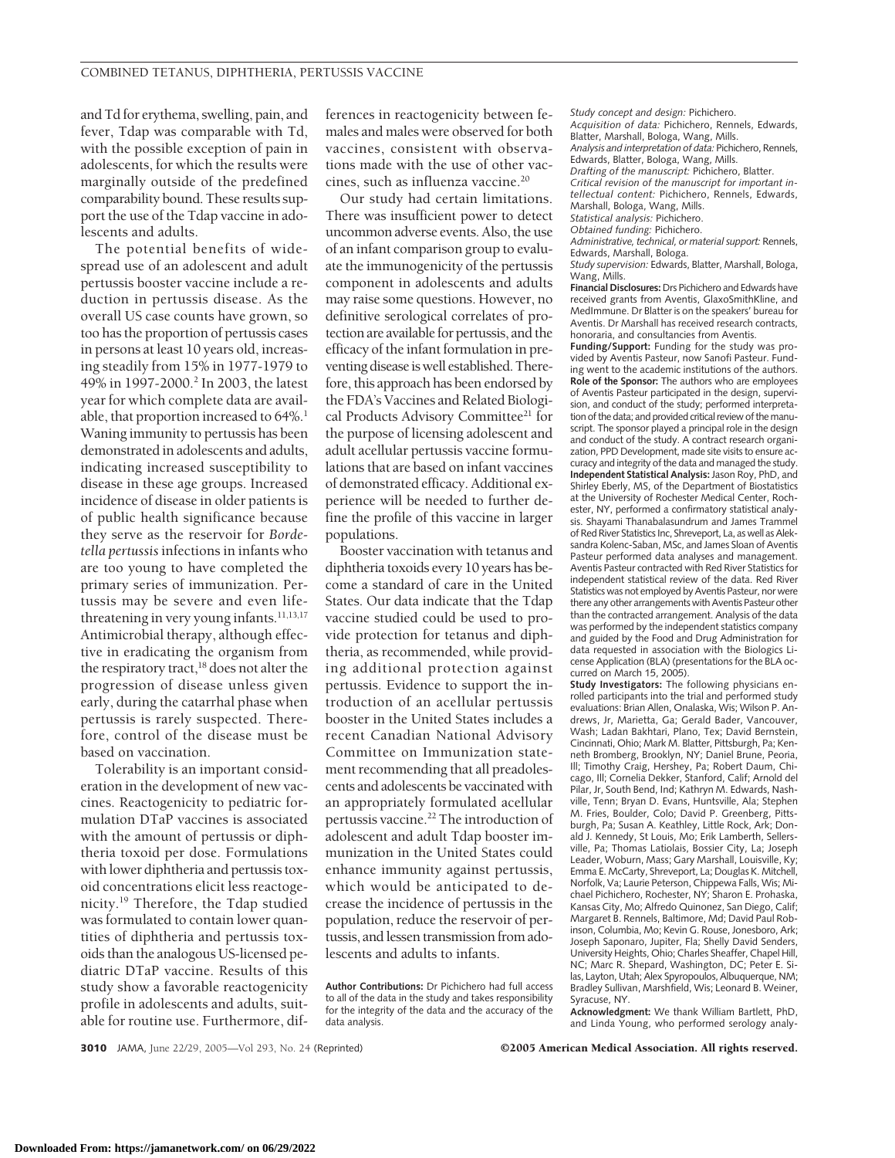and Td for erythema, swelling, pain, and fever, Tdap was comparable with Td, with the possible exception of pain in adolescents, for which the results were marginally outside of the predefined comparability bound. These results support the use of the Tdap vaccine in adolescents and adults.

The potential benefits of widespread use of an adolescent and adult pertussis booster vaccine include a reduction in pertussis disease. As the overall US case counts have grown, so too has the proportion of pertussis cases in persons at least 10 years old, increasing steadily from 15% in 1977-1979 to 49% in 1997-2000.<sup>2</sup> In 2003, the latest year for which complete data are available, that proportion increased to 64%.<sup>1</sup> Waning immunity to pertussis has been demonstrated in adolescents and adults, indicating increased susceptibility to disease in these age groups. Increased incidence of disease in older patients is of public health significance because they serve as the reservoir for *Bordetella pertussis* infections in infants who are too young to have completed the primary series of immunization. Pertussis may be severe and even lifethreatening in very young infants.<sup>11,13,17</sup> Antimicrobial therapy, although effective in eradicating the organism from the respiratory tract, $^{18}$  does not alter the progression of disease unless given early, during the catarrhal phase when pertussis is rarely suspected. Therefore, control of the disease must be based on vaccination.

Tolerability is an important consideration in the development of new vaccines. Reactogenicity to pediatric formulation DTaP vaccines is associated with the amount of pertussis or diphtheria toxoid per dose. Formulations with lower diphtheria and pertussis toxoid concentrations elicit less reactogenicity.19 Therefore, the Tdap studied was formulated to contain lower quantities of diphtheria and pertussis toxoids than the analogous US-licensed pediatric DTaP vaccine. Results of this study show a favorable reactogenicity profile in adolescents and adults, suitable for routine use. Furthermore, differences in reactogenicity between females and males were observed for both vaccines, consistent with observations made with the use of other vaccines, such as influenza vaccine.20

Our study had certain limitations. There was insufficient power to detect uncommon adverse events. Also, the use of an infant comparison group to evaluate the immunogenicity of the pertussis component in adolescents and adults may raise some questions. However, no definitive serological correlates of protection are available for pertussis, and the efficacy of the infant formulation in preventing disease is well established. Therefore, this approach has been endorsed by the FDA's Vaccines and Related Biological Products Advisory Committee<sup>21</sup> for the purpose of licensing adolescent and adult acellular pertussis vaccine formulations that are based on infant vaccines of demonstrated efficacy. Additional experience will be needed to further define the profile of this vaccine in larger populations.

Booster vaccination with tetanus and diphtheria toxoids every 10 years has become a standard of care in the United States. Our data indicate that the Tdap vaccine studied could be used to provide protection for tetanus and diphtheria, as recommended, while providing additional protection against pertussis. Evidence to support the introduction of an acellular pertussis booster in the United States includes a recent Canadian National Advisory Committee on Immunization statement recommending that all preadolescents and adolescents be vaccinated with an appropriately formulated acellular pertussis vaccine.<sup>22</sup> The introduction of adolescent and adult Tdap booster immunization in the United States could enhance immunity against pertussis, which would be anticipated to decrease the incidence of pertussis in the population, reduce the reservoir of pertussis, and lessen transmission from adolescents and adults to infants.

**Author Contributions:** Dr Pichichero had full access to all of the data in the study and takes responsibility for the integrity of the data and the accuracy of the data analysis.

*Acquisition of data:* Pichichero, Rennels, Edwards, Blatter, Marshall, Bologa, Wang, Mills. *Analysis and interpretation of data:* Pichichero, Rennels, Edwards, Blatter, Bologa, Wang, Mills. *Drafting of the manuscript:* Pichichero, Blatter. *Critical revision of the manuscript for important intellectual content:* Pichichero, Rennels, Edwards, Marshall, Bologa, Wang, Mills.

*Statistical analysis:* Pichichero.

*Study concept and design:* Pichichero.

*Obtained funding:* Pichichero.

*Administrative, technical, or material support:* Rennels, Edwards, Marshall, Bologa.

*Study supervision:* Edwards, Blatter, Marshall, Bologa, Wang, Mills.

**Financial Disclosures:** Drs Pichichero and Edwards have received grants from Aventis, GlaxoSmithKline, and MedImmune. Dr Blatter is on the speakers' bureau for Aventis. Dr Marshall has received research contracts, honoraria, and consultancies from Aventis.

**Funding/Support:** Funding for the study was provided by Aventis Pasteur, now Sanofi Pasteur. Funding went to the academic institutions of the authors. **Role of the Sponsor:** The authors who are employees of Aventis Pasteur participated in the design, supervision, and conduct of the study; performed interpretation of the data; and provided critical review of the manuscript. The sponsor played a principal role in the design and conduct of the study. A contract research organization, PPD Development, made site visits to ensure accuracy and integrity of the data and managed the study. **Independent Statistical Analysis:** Jason Roy, PhD, and Shirley Eberly, MS, of the Department of Biostatistics at the University of Rochester Medical Center, Rochester, NY, performed a confirmatory statistical analysis. Shayami Thanabalasundrum and James Trammel of Red River Statistics Inc, Shreveport, La, as well as Aleksandra Kolenc-Saban, MSc, and James Sloan of Aventis Pasteur performed data analyses and management. Aventis Pasteur contracted with Red River Statistics for independent statistical review of the data. Red River Statistics was not employed by Aventis Pasteur, nor were there any other arrangements with Aventis Pasteur other than the contracted arrangement. Analysis of the data was performed by the independent statistics company and guided by the Food and Drug Administration for data requested in association with the Biologics License Application (BLA) (presentations for the BLA occurred on March 15, 2005).

**Study Investigators:** The following physicians enrolled participants into the trial and performed study evaluations: Brian Allen, Onalaska, Wis; Wilson P. Andrews, Jr, Marietta, Ga; Gerald Bader, Vancouver, Wash; Ladan Bakhtari, Plano, Tex; David Bernstein, Cincinnati, Ohio; Mark M. Blatter, Pittsburgh, Pa; Kenneth Bromberg, Brooklyn, NY; Daniel Brune, Peoria, Ill; Timothy Craig, Hershey, Pa; Robert Daum, Chicago, Ill; Cornelia Dekker, Stanford, Calif; Arnold del Pilar, Jr, South Bend, Ind; Kathryn M. Edwards, Nashville, Tenn; Bryan D. Evans, Huntsville, Ala; Stephen M. Fries, Boulder, Colo; David P. Greenberg, Pittsburgh, Pa; Susan A. Keathley, Little Rock, Ark; Donald J. Kennedy, St Louis, Mo; Erik Lamberth, Sellersville, Pa; Thomas Latiolais, Bossier City, La; Joseph Leader, Woburn, Mass; Gary Marshall, Louisville, Ky; Emma E. McCarty, Shreveport, La; Douglas K. Mitchell, Norfolk, Va; Laurie Peterson, Chippewa Falls, Wis; Michael Pichichero, Rochester, NY; Sharon E. Prohaska, Kansas City, Mo; Alfredo Quinonez, San Diego, Calif; Margaret B. Rennels, Baltimore, Md; David Paul Robinson, Columbia, Mo; Kevin G. Rouse, Jonesboro, Ark; Joseph Saponaro, Jupiter, Fla; Shelly David Senders, University Heights, Ohio; Charles Sheaffer, Chapel Hill, NC; Marc R. Shepard, Washington, DC; Peter E. Silas, Layton, Utah; Alex Spyropoulos, Albuquerque, NM; Bradley Sullivan, Marshfield, Wis; Leonard B. Weiner, Syracuse, NY.

**Acknowledgment:** We thank William Bartlett, PhD, and Linda Young, who performed serology analy-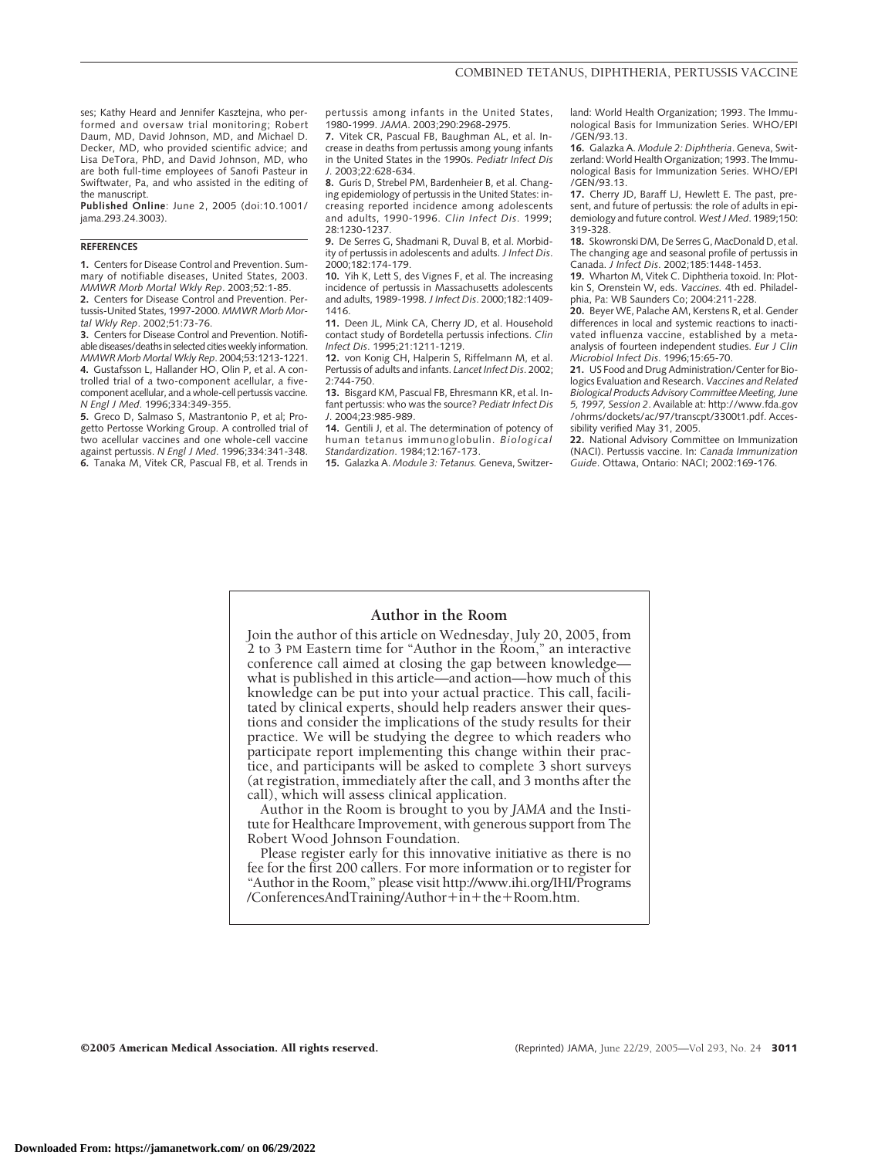ses: Kathy Heard and Jennifer Kaszteina, who performed and oversaw trial monitoring; Robert Daum, MD, David Johnson, MD, and Michael D. Decker, MD, who provided scientific advice; and Lisa DeTora, PhD, and David Johnson, MD, who are both full-time employees of Sanofi Pasteur in Swiftwater, Pa, and who assisted in the editing of the manuscript.

**Published Online**: June 2, 2005 (doi:10.1001/ jama.293.24.3003).

#### **REFERENCES**

**1.** Centers for Disease Control and Prevention. Summary of notifiable diseases, United States, 2003. *MMWR Morb Mortal Wkly Rep*. 2003;52:1-85.

**2.** Centers for Disease Control and Prevention. Pertussis-United States, 1997-2000. *MMWR Morb Mortal Wkly Rep*. 2002;51:73-76.

**3.** Centers for Disease Control and Prevention. Notifiable diseases/deaths in selected cities weekly information. *MMWR Morb Mortal Wkly Rep*. 2004;53:1213-1221.

**4.** Gustafsson L, Hallander HO, Olin P, et al. A controlled trial of a two-component acellular, a fivecomponent acellular, and a whole-cell pertussis vaccine. *N Engl J Med*. 1996;334:349-355.

**5.** Greco D, Salmaso S, Mastrantonio P, et al; Progetto Pertosse Working Group. A controlled trial of two acellular vaccines and one whole-cell vaccine against pertussis. *N Engl J Med*. 1996;334:341-348. **6.** Tanaka M, Vitek CR, Pascual FB, et al. Trends in pertussis among infants in the United States, 1980-1999. *JAMA*. 2003;290:2968-2975.

**7.** Vitek CR, Pascual FB, Baughman AL, et al. Increase in deaths from pertussis among young infants in the United States in the 1990s. *Pediatr Infect Dis J*. 2003;22:628-634.

**8.** Guris D, Strebel PM, Bardenheier B, et al. Changing epidemiology of pertussis in the United States: increasing reported incidence among adolescents and adults, 1990-1996. *Clin Infect Dis*. 1999; 28:1230-1237.

**9.** De Serres G, Shadmani R, Duval B, et al. Morbidity of pertussis in adolescents and adults. *J Infect Dis*. 2000;182:174-179.

**10.** Yih K, Lett S, des Vignes F, et al. The increasing incidence of pertussis in Massachusetts adolescents and adults, 1989-1998. *J Infect Dis*. 2000;182:1409- 1416.

**11.** Deen JL, Mink CA, Cherry JD, et al. Household contact study of Bordetella pertussis infections. *Clin Infect Dis*. 1995;21:1211-1219.

**12.** von Konig CH, Halperin S, Riffelmann M, et al. Pertussis of adults and infants. *Lancet Infect Dis*. 2002; 2:744-750.

**13.** Bisgard KM, Pascual FB, Ehresmann KR, et al. Infant pertussis: who was the source? *Pediatr Infect Dis J*. 2004;23:985-989.

**14.** Gentili J, et al. The determination of potency of human tetanus immunoglobulin. *Biological Standardization*. 1984;12:167-173.

**15.** Galazka A. *Module 3: Tetanus.* Geneva, Switzer-

land: World Health Organization; 1993. The Immunological Basis for Immunization Series. WHO/EPI /GEN/93.13.

**16.** Galazka A. *Module 2: Diphtheria*. Geneva, Switzerland: World Health Organization; 1993. The Immunological Basis for Immunization Series. WHO/EPI /GEN/93.13.

**17.** Cherry JD, Baraff LJ, Hewlett E. The past, present, and future of pertussis: the role of adults in epidemiology and future control. *West J Med*. 1989;150: 319-328.

**18.** Skowronski DM, De Serres G, MacDonald D, et al. The changing age and seasonal profile of pertussis in Canada. *J Infect Dis*. 2002;185:1448-1453.

**19.** Wharton M, Vitek C. Diphtheria toxoid. In: Plotkin S, Orenstein W, eds. *Vaccines.* 4th ed. Philadelphia, Pa: WB Saunders Co; 2004:211-228.

**20.** Beyer WE, Palache AM, Kerstens R, et al. Gender differences in local and systemic reactions to inactivated influenza vaccine, established by a metaanalysis of fourteen independent studies. *Eur J Clin Microbiol Infect Dis*. 1996;15:65-70.

**21.** US Food and Drug Administration/Center for Biologics Evaluation and Research. *Vaccines and Related Biological Products Advisory CommitteeMeeting, June 5, 1997, Session 2*. Available at: http://www.fda.gov /ohrms/dockets/ac/97/transcpt/3300t1.pdf. Accessibility verified May 31, 2005.

**22.** National Advisory Committee on Immunization (NACI). Pertussis vaccine. In: *Canada Immunization Guide*. Ottawa, Ontario: NACI; 2002:169-176.

#### **Author in the Room**

Join the author of this article on Wednesday, July 20, 2005, from 2 to 3 PM Eastern time for "Author in the Room," an interactive conference call aimed at closing the gap between knowledge what is published in this article—and action—how much of this knowledge can be put into your actual practice. This call, facilitated by clinical experts, should help readers answer their questions and consider the implications of the study results for their practice. We will be studying the degree to which readers who participate report implementing this change within their practice, and participants will be asked to complete 3 short surveys (at registration, immediately after the call, and 3 months after the call), which will assess clinical application.

Author in the Room is brought to you by *JAMA* and the Institute for Healthcare Improvement, with generous support from The Robert Wood Johnson Foundation.

Please register early for this innovative initiative as there is no fee for the first 200 callers. For more information or to register for "Author in the Room," please visit http://www.ihi.org/IHI/Programs /ConferencesAndTraining/Author $+i$ n+the+Room.htm.